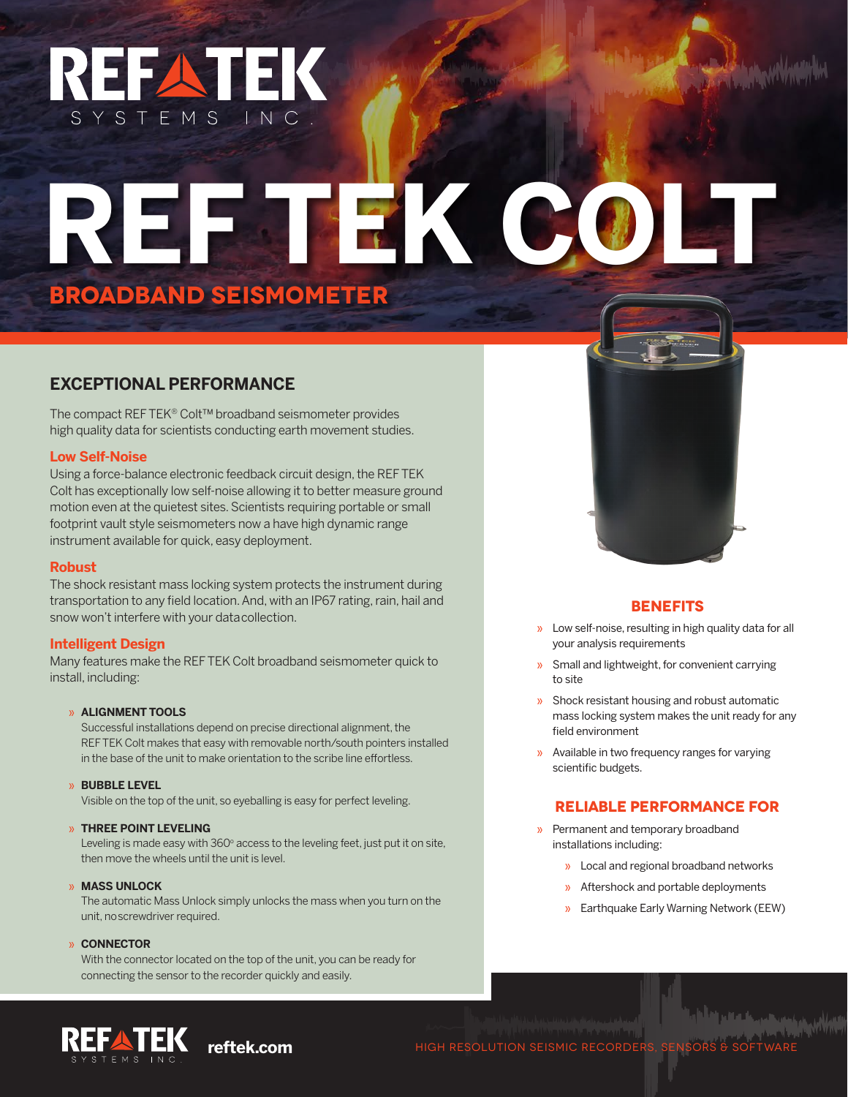## REFATEK SYSTEMS INC

# **REF TEK COLT BROADBAND SEISMOMETER**

#### **EXCEPTIONAL PERFORMANCE**

The compact REF TEK® Colt™ broadband seismometer provides high quality data for scientists conducting earth movement studies.

#### **Low Self-Noise**

Using a force-balance electronic feedback circuit design, the REF TEK Colt has exceptionally low self-noise allowing it to better measure ground motion even at the quietest sites. Scientists requiring portable or small footprint vault style seismometers now a have high dynamic range instrument available for quick, easy deployment.

#### **Robust**

The shock resistant mass locking system protects the instrument during transportation to any field location. And, with an IP67 rating, rain, hail and snow won't interfere with your data collection.

#### **Intelligent Design**

Many features make the REF TEK Colt broadband seismometer quick to install, including:

#### » **ALIGNMENT TOOLS**

Successful installations depend on precise directional alignment, the REF TEK Colt makes that easy with removable north/south pointers installed in the base of the unit to make orientation to the scribe line effortless.

» **BUBBLE LEVEL** Visible on the top of the unit, so eyeballing is easy for perfect leveling.

#### » **THREE POINT LEVELING**

Leveling is made easy with  $360^{\circ}$  access to the leveling feet, just put it on site, then move the wheels until the unit is level.

» **MASS UNLOCK** The automatic Mass Unlock simply unlocks the mass when you turn on the unit, no screwdriver required.

#### » **CONNECTOR**

With the connector located on the top of the unit, you can be ready for connecting the sensor to the recorder quickly and easily.



#### **BENEFITS**

- » Low self-noise, resulting in high quality data for all your analysis requirements
- » Small and lightweight, for convenient carrying to site
- » Shock resistant housing and robust automatic mass locking system makes the unit ready for any field environment
- » Available in two frequency ranges for varying scientific budgets.

#### **RELIABLE PERFORMANCE FOR**

- » Permanent and temporary broadband installations including:
	- » Local and regional broadband networks
	- » Aftershock and portable deployments
	- » Earthquake Early Warning Network (EEW)



**reftek.com** HIGH RESOLUTION SEISMIC RECORDERS, SENSORS & SO